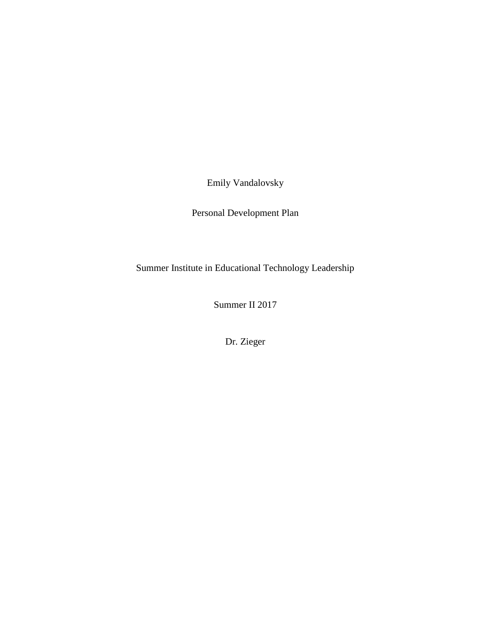Emily Vandalovsky

Personal Development Plan

Summer Institute in Educational Technology Leadership

Summer II 2017

Dr. Zieger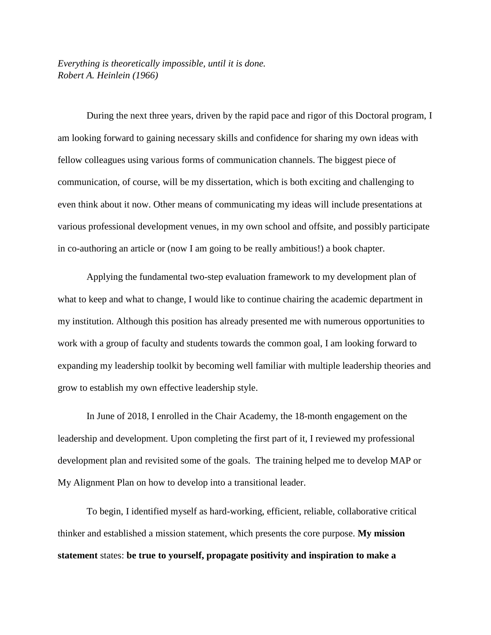*Everything is theoretically impossible, until it is done. [Robert A. Heinlein](https://en.wikiquote.org/wiki/Robert_A._Heinlein) (1966)* 

During the next three years, driven by the rapid pace and rigor of this Doctoral program, I am looking forward to gaining necessary skills and confidence for sharing my own ideas with fellow colleagues using various forms of communication channels. The biggest piece of communication, of course, will be my dissertation, which is both exciting and challenging to even think about it now. Other means of communicating my ideas will include presentations at various professional development venues, in my own school and offsite, and possibly participate in co-authoring an article or (now I am going to be really ambitious!) a book chapter.

Applying the fundamental two-step evaluation framework to my development plan of what to keep and what to change, I would like to continue chairing the academic department in my institution. Although this position has already presented me with numerous opportunities to work with a group of faculty and students towards the common goal, I am looking forward to expanding my leadership toolkit by becoming well familiar with multiple leadership theories and grow to establish my own effective leadership style.

In June of 2018, I enrolled in the Chair Academy, the 18-month engagement on the leadership and development. Upon completing the first part of it, I reviewed my professional development plan and revisited some of the goals. The training helped me to develop MAP or My Alignment Plan on how to develop into a transitional leader.

To begin, I identified myself as hard-working, efficient, reliable, collaborative critical thinker and established a mission statement, which presents the core purpose. **My mission statement** states: **be true to yourself, propagate positivity and inspiration to make a**